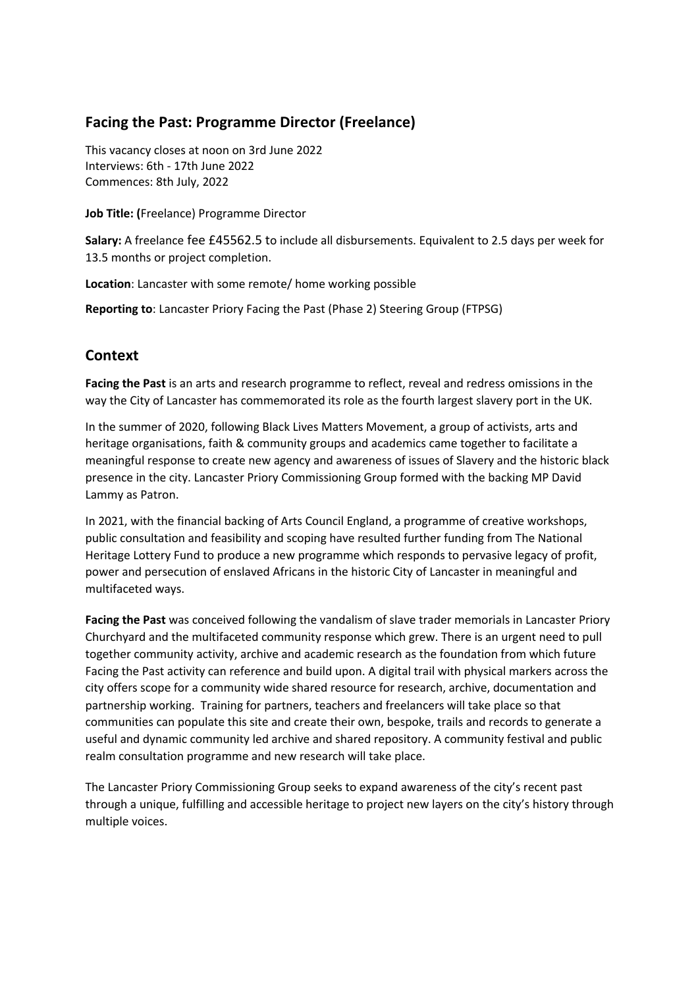# **Facing the Past: Programme Director (Freelance)**

This vacancy closes at noon on 3rd June 2022 Interviews: 6th - 17th June 2022 Commences: 8th July, 2022

**Job Title: (**Freelance) Programme Director

**Salary:** A freelance fee £45562.5 to include all disbursements. Equivalent to 2.5 days per week for 13.5 months or project completion.

**Location**: Lancaster with some remote/ home working possible

**Reporting to**: Lancaster Priory Facing the Past (Phase 2) Steering Group (FTPSG)

# **Context**

**Facing the Past** is an arts and research programme to reflect, reveal and redress omissions in the way the City of Lancaster has commemorated its role as the fourth largest slavery port in the UK.

In the summer of 2020, following Black Lives Matters Movement, a group of activists, arts and heritage organisations, faith & community groups and academics came together to facilitate a meaningful response to create new agency and awareness of issues of Slavery and the historic black presence in the city. Lancaster Priory Commissioning Group formed with the backing MP David Lammy as Patron.

In 2021, with the financial backing of Arts Council England, a programme of creative workshops, public consultation and feasibility and scoping have resulted further funding from The National Heritage Lottery Fund to produce a new programme which responds to pervasive legacy of profit, power and persecution of enslaved Africans in the historic City of Lancaster in meaningful and multifaceted ways.

**Facing the Past** was conceived following the vandalism of slave trader memorials in Lancaster Priory Churchyard and the multifaceted community response which grew. There is an urgent need to pull together community activity, archive and academic research as the foundation from which future Facing the Past activity can reference and build upon. A digital trail with physical markers across the city offers scope for a community wide shared resource for research, archive, documentation and partnership working. Training for partners, teachers and freelancers will take place so that communities can populate this site and create their own, bespoke, trails and records to generate a useful and dynamic community led archive and shared repository. A community festival and public realm consultation programme and new research will take place.

The Lancaster Priory Commissioning Group seeks to expand awareness of the city's recent past through a unique, fulfilling and accessible heritage to project new layers on the city's history through multiple voices.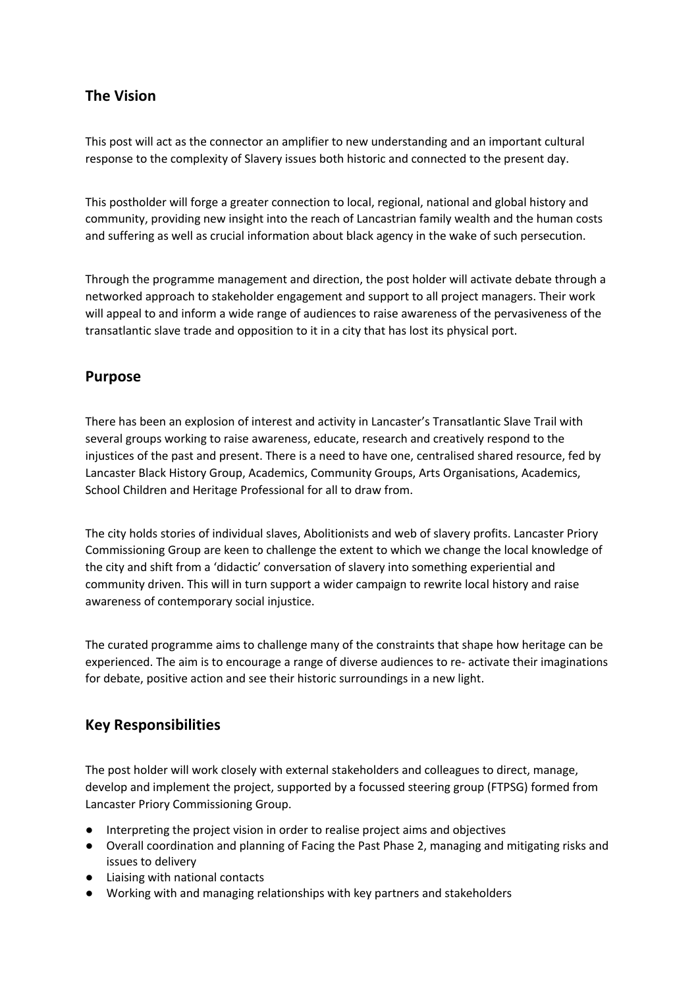# **The Vision**

This post will act as the connector an amplifier to new understanding and an important cultural response to the complexity of Slavery issues both historic and connected to the present day.

This postholder will forge a greater connection to local, regional, national and global history and community, providing new insight into the reach of Lancastrian family wealth and the human costs and suffering as well as crucial information about black agency in the wake of such persecution.

Through the programme management and direction, the post holder will activate debate through a networked approach to stakeholder engagement and support to all project managers. Their work will appeal to and inform a wide range of audiences to raise awareness of the pervasiveness of the transatlantic slave trade and opposition to it in a city that has lost its physical port.

# **Purpose**

There has been an explosion of interest and activity in Lancaster's Transatlantic Slave Trail with several groups working to raise awareness, educate, research and creatively respond to the injustices of the past and present. There is a need to have one, centralised shared resource, fed by Lancaster Black History Group, Academics, Community Groups, Arts Organisations, Academics, School Children and Heritage Professional for all to draw from.

The city holds stories of individual slaves, Abolitionists and web of slavery profits. Lancaster Priory Commissioning Group are keen to challenge the extent to which we change the local knowledge of the city and shift from a 'didactic' conversation of slavery into something experiential and community driven. This will in turn support a wider campaign to rewrite local history and raise awareness of contemporary social injustice.

The curated programme aims to challenge many of the constraints that shape how heritage can be experienced. The aim is to encourage a range of diverse audiences to re- activate their imaginations for debate, positive action and see their historic surroundings in a new light.

# **Key Responsibilities**

The post holder will work closely with external stakeholders and colleagues to direct, manage, develop and implement the project, supported by a focussed steering group (FTPSG) formed from Lancaster Priory Commissioning Group.

- Interpreting the project vision in order to realise project aims and objectives
- Overall coordination and planning of Facing the Past Phase 2, managing and mitigating risks and issues to delivery
- Liaising with national contacts
- Working with and managing relationships with key partners and stakeholders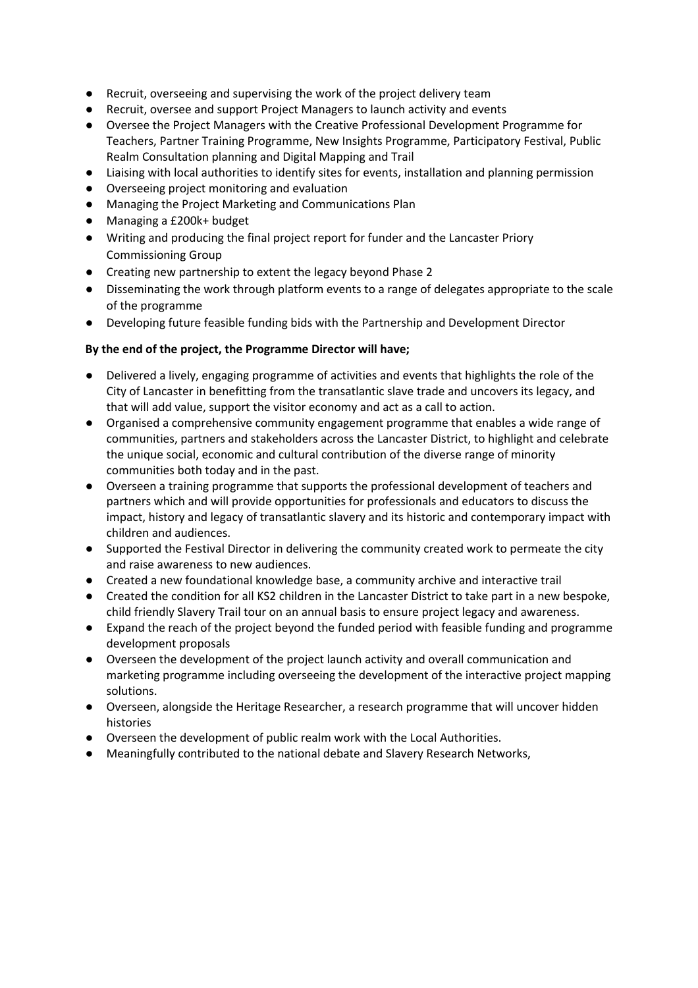- Recruit, overseeing and supervising the work of the project delivery team
- Recruit, oversee and support Project Managers to launch activity and events
- Oversee the Project Managers with the Creative Professional Development Programme for Teachers, Partner Training Programme, New Insights Programme, Participatory Festival, Public Realm Consultation planning and Digital Mapping and Trail
- Liaising with local authorities to identify sites for events, installation and planning permission
- Overseeing project monitoring and evaluation
- Managing the Project Marketing and Communications Plan
- Managing a £200k+ budget
- Writing and producing the final project report for funder and the Lancaster Priory Commissioning Group
- Creating new partnership to extent the legacy beyond Phase 2
- Disseminating the work through platform events to a range of delegates appropriate to the scale of the programme
- Developing future feasible funding bids with the Partnership and Development Director

#### **By the end of the project, the Programme Director will have;**

- Delivered a lively, engaging programme of activities and events that highlights the role of the City of Lancaster in benefitting from the transatlantic slave trade and uncovers its legacy, and that will add value, support the visitor economy and act as a call to action.
- Organised a comprehensive community engagement programme that enables a wide range of communities, partners and stakeholders across the Lancaster District, to highlight and celebrate the unique social, economic and cultural contribution of the diverse range of minority communities both today and in the past.
- Overseen a training programme that supports the professional development of teachers and partners which and will provide opportunities for professionals and educators to discuss the impact, history and legacy of transatlantic slavery and its historic and contemporary impact with children and audiences.
- Supported the Festival Director in delivering the community created work to permeate the city and raise awareness to new audiences.
- Created a new foundational knowledge base, a community archive and interactive trail
- Created the condition for all KS2 children in the Lancaster District to take part in a new bespoke, child friendly Slavery Trail tour on an annual basis to ensure project legacy and awareness.
- Expand the reach of the project beyond the funded period with feasible funding and programme development proposals
- Overseen the development of the project launch activity and overall communication and marketing programme including overseeing the development of the interactive project mapping solutions.
- Overseen, alongside the Heritage Researcher, a research programme that will uncover hidden histories
- Overseen the development of public realm work with the Local Authorities.
- Meaningfully contributed to the national debate and Slavery Research Networks,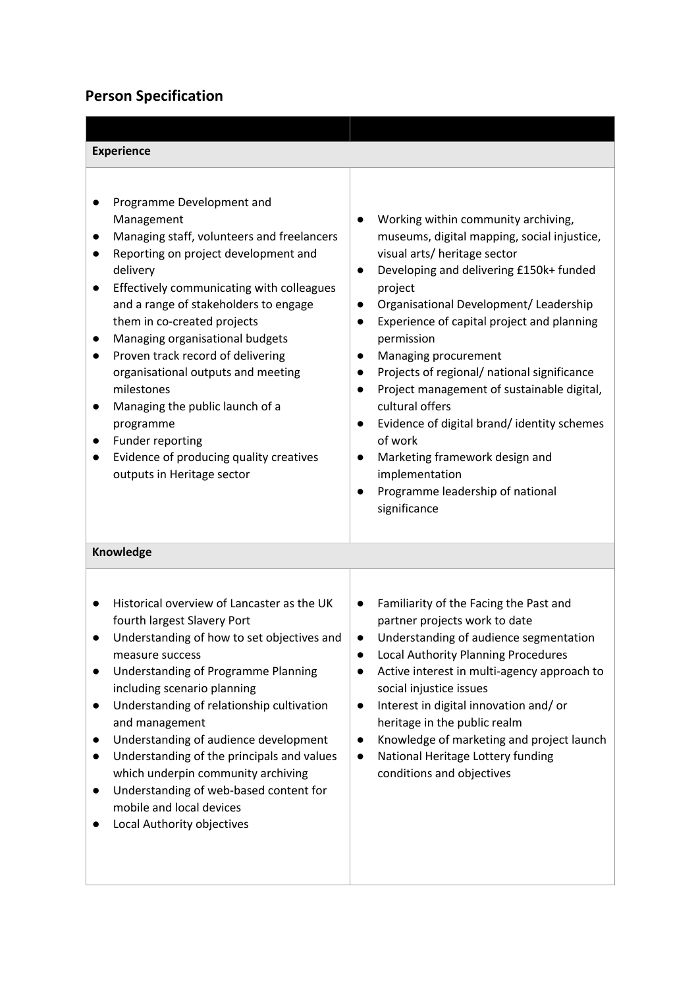# **Person Specification**

| <b>Experience</b>                                                                                                                                                                                                                                                                                                                                                                                                                                                                                                                                    |                                                                                                                                                                                                                                                                                                                                                                                                                                                                                                                                                                                                                                                          |
|------------------------------------------------------------------------------------------------------------------------------------------------------------------------------------------------------------------------------------------------------------------------------------------------------------------------------------------------------------------------------------------------------------------------------------------------------------------------------------------------------------------------------------------------------|----------------------------------------------------------------------------------------------------------------------------------------------------------------------------------------------------------------------------------------------------------------------------------------------------------------------------------------------------------------------------------------------------------------------------------------------------------------------------------------------------------------------------------------------------------------------------------------------------------------------------------------------------------|
| Programme Development and<br>Management<br>Managing staff, volunteers and freelancers<br>Reporting on project development and<br>delivery<br>Effectively communicating with colleagues<br>and a range of stakeholders to engage<br>them in co-created projects<br>Managing organisational budgets<br>Proven track record of delivering<br>organisational outputs and meeting<br>milestones<br>Managing the public launch of a<br>$\bullet$<br>programme<br>Funder reporting<br>Evidence of producing quality creatives<br>outputs in Heritage sector | Working within community archiving,<br>museums, digital mapping, social injustice,<br>visual arts/ heritage sector<br>Developing and delivering £150k+ funded<br>$\bullet$<br>project<br>Organisational Development/ Leadership<br>$\bullet$<br>Experience of capital project and planning<br>$\bullet$<br>permission<br>Managing procurement<br>$\bullet$<br>Projects of regional/ national significance<br>Project management of sustainable digital,<br>$\bullet$<br>cultural offers<br>Evidence of digital brand/identity schemes<br>of work<br>Marketing framework design and<br>implementation<br>Programme leadership of national<br>significance |
| Knowledge                                                                                                                                                                                                                                                                                                                                                                                                                                                                                                                                            |                                                                                                                                                                                                                                                                                                                                                                                                                                                                                                                                                                                                                                                          |
| Historical overview of Lancaster as the UK<br>fourth largest Slavery Port<br>Understanding of how to set objectives and<br>measure success<br>Understanding of Programme Planning<br>including scenario planning<br>Understanding of relationship cultivation<br>and management<br>Understanding of audience development<br>Understanding of the principals and values<br>which underpin community archiving<br>Understanding of web-based content for<br>mobile and local devices<br>Local Authority objectives                                     | Familiarity of the Facing the Past and<br>$\bullet$<br>partner projects work to date<br>Understanding of audience segmentation<br>$\bullet$<br>Local Authority Planning Procedures<br>Active interest in multi-agency approach to<br>social injustice issues<br>Interest in digital innovation and/or<br>heritage in the public realm<br>Knowledge of marketing and project launch<br>National Heritage Lottery funding<br>$\bullet$<br>conditions and objectives                                                                                                                                                                                        |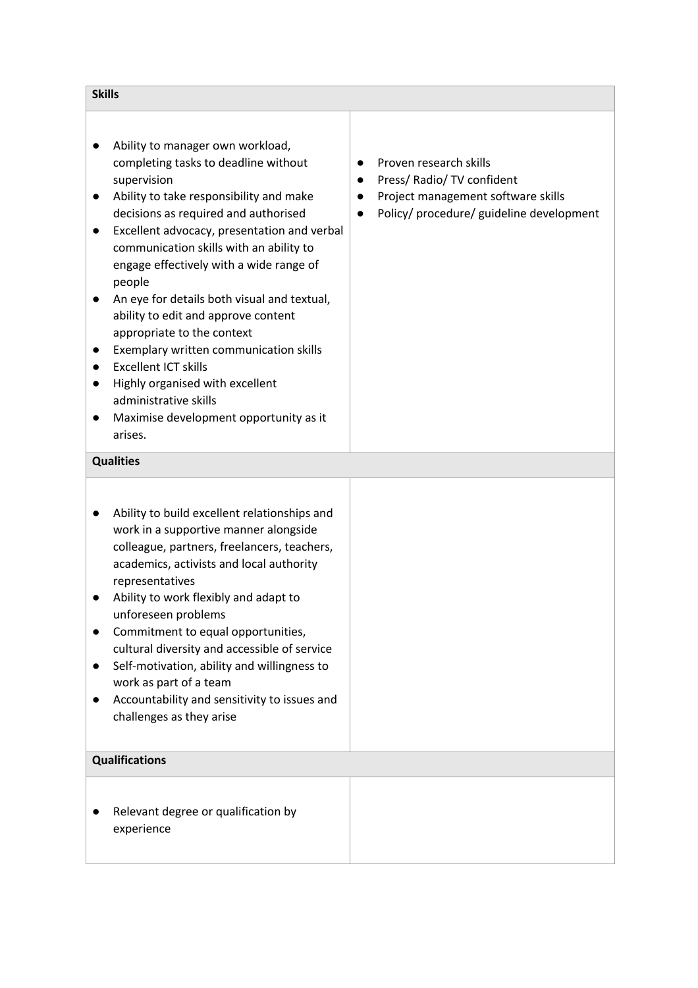| <b>Skills</b>                                                                                                                                                                                                                                                                                                                                                                                                                                                                                                                                                                                                                                        |                                                                                                                                        |
|------------------------------------------------------------------------------------------------------------------------------------------------------------------------------------------------------------------------------------------------------------------------------------------------------------------------------------------------------------------------------------------------------------------------------------------------------------------------------------------------------------------------------------------------------------------------------------------------------------------------------------------------------|----------------------------------------------------------------------------------------------------------------------------------------|
| Ability to manager own workload,<br>completing tasks to deadline without<br>supervision<br>Ability to take responsibility and make<br>decisions as required and authorised<br>Excellent advocacy, presentation and verbal<br>$\bullet$<br>communication skills with an ability to<br>engage effectively with a wide range of<br>people<br>An eye for details both visual and textual,<br>ability to edit and approve content<br>appropriate to the context<br>Exemplary written communication skills<br><b>Excellent ICT skills</b><br>Highly organised with excellent<br>administrative skills<br>Maximise development opportunity as it<br>arises. | Proven research skills<br>Press/ Radio/ TV confident<br>Project management software skills<br>Policy/ procedure/ guideline development |
| <b>Qualities</b>                                                                                                                                                                                                                                                                                                                                                                                                                                                                                                                                                                                                                                     |                                                                                                                                        |
| Ability to build excellent relationships and<br>work in a supportive manner alongside<br>colleague, partners, freelancers, teachers,<br>academics, activists and local authority<br>representatives<br>Ability to work flexibly and adapt to<br>unforeseen problems<br>Commitment to equal opportunities,<br>$\bullet$<br>cultural diversity and accessible of service<br>Self-motivation, ability and willingness to<br>work as part of a team<br>Accountability and sensitivity to issues and<br>challenges as they arise                                                                                                                          |                                                                                                                                        |
| <b>Qualifications</b>                                                                                                                                                                                                                                                                                                                                                                                                                                                                                                                                                                                                                                |                                                                                                                                        |
| Relevant degree or qualification by                                                                                                                                                                                                                                                                                                                                                                                                                                                                                                                                                                                                                  |                                                                                                                                        |

experience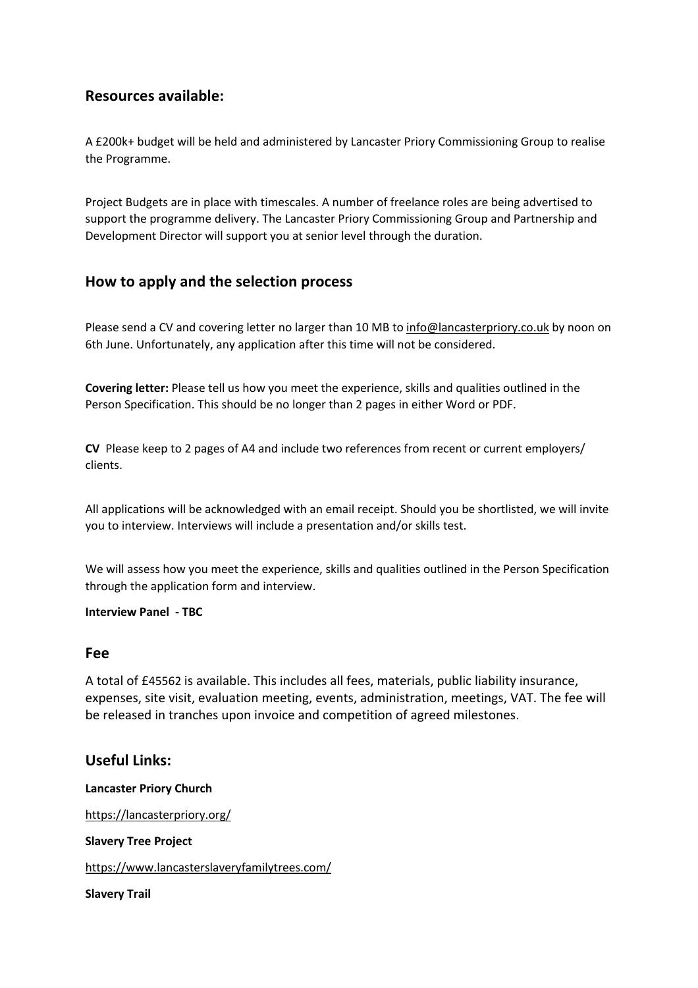# **Resources available:**

A £200k+ budget will be held and administered by Lancaster Priory Commissioning Group to realise the Programme.

Project Budgets are in place with timescales. A number of freelance roles are being advertised to support the programme delivery. The Lancaster Priory Commissioning Group and Partnership and Development Director will support you at senior level through the duration.

# **How to apply and the selection process**

Please send a CV and covering letter no larger than 10 MB to info@lancasterpriory.co.uk by noon on 6th June. Unfortunately, any application after this time will not be considered.

**Covering letter:** Please tell us how you meet the experience, skills and qualities outlined in the Person Specification. This should be no longer than 2 pages in either Word or PDF.

**CV** Please keep to 2 pages of A4 and include two references from recent or current employers/ clients.

All applications will be acknowledged with an email receipt. Should you be shortlisted, we will invite you to interview. Interviews will include a presentation and/or skills test.

We will assess how you meet the experience, skills and qualities outlined in the Person Specification through the application form and interview.

## **Interview Panel - TBC**

## **Fee**

A total of £45562 is available. This includes all fees, materials, public liability insurance, expenses, site visit, evaluation meeting, events, administration, meetings, VAT. The fee will be released in tranches upon invoice and competition of agreed milestones.

## **Useful Links:**

#### **Lancaster Priory Church**

https://lancasterpriory.org/

**Slavery Tree Project**

https://www.lancasterslaveryfamilytrees.com/

**Slavery Trail**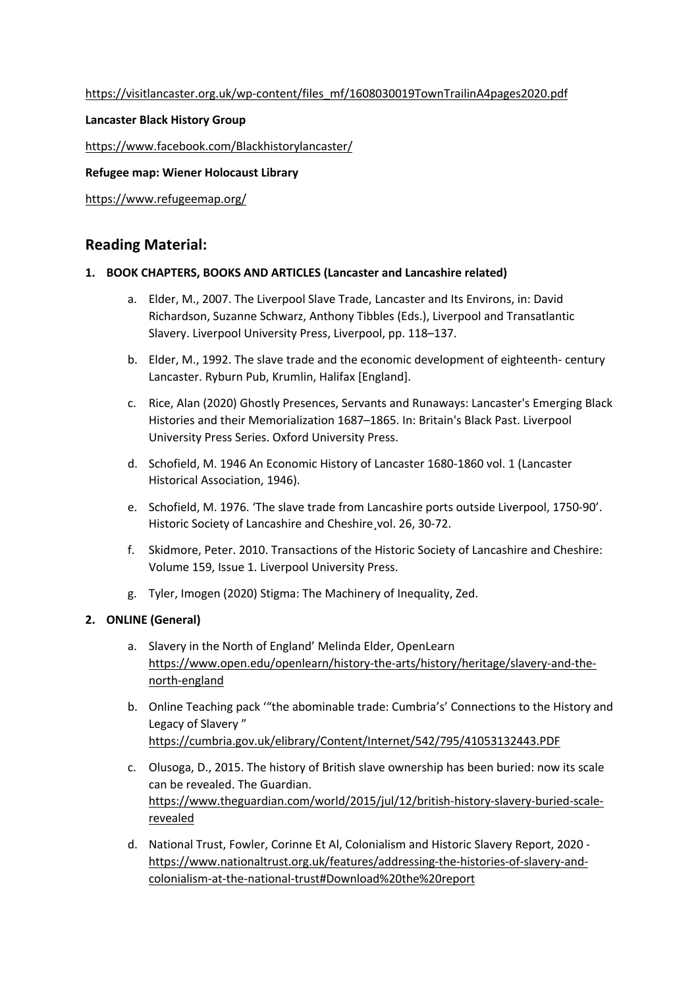https://visitlancaster.org.uk/wp-content/files\_mf/1608030019TownTrailinA4pages2020.pdf

### **Lancaster Black History Group**

https://www.facebook.com/Blackhistorylancaster/

#### **Refugee map: Wiener Holocaust Library**

https://www.refugeemap.org/

## **Reading Material:**

#### **1. BOOK CHAPTERS, BOOKS AND ARTICLES (Lancaster and Lancashire related)**

- a. Elder, M., 2007. The Liverpool Slave Trade, Lancaster and Its Environs, in: David Richardson, Suzanne Schwarz, Anthony Tibbles (Eds.), Liverpool and Transatlantic Slavery. Liverpool University Press, Liverpool, pp. 118–137.
- b. Elder, M., 1992. The slave trade and the economic development of eighteenth- century Lancaster. Ryburn Pub, Krumlin, Halifax [England].
- c. Rice, Alan (2020) Ghostly Presences, Servants and Runaways: Lancaster's Emerging Black Histories and their Memorialization 1687–1865. In: Britain's Black Past. Liverpool University Press Series. Oxford University Press.
- d. Schofield, M. 1946 An Economic History of Lancaster 1680-1860 vol. 1 (Lancaster Historical Association, 1946).
- e. Schofield, M. 1976. 'The slave trade from Lancashire ports outside Liverpool, 1750-90'. Historic Society of Lancashire and Cheshire¸vol. 26, 30-72.
- f. Skidmore, Peter. 2010. Transactions of the Historic Society of Lancashire and Cheshire: Volume 159, Issue 1. Liverpool University Press.
- g. Tyler, Imogen (2020) Stigma: The Machinery of Inequality, Zed.

## **2. ONLINE (General)**

- a. Slavery in the North of England' Melinda Elder, OpenLearn https://www.open.edu/openlearn/history-the-arts/history/heritage/slavery-and-thenorth-england
- b. Online Teaching pack '"the abominable trade: Cumbria's' Connections to the History and Legacy of Slavery " https://cumbria.gov.uk/elibrary/Content/Internet/542/795/41053132443.PDF
- c. Olusoga, D., 2015. The history of British slave ownership has been buried: now its scale can be revealed. The Guardian. https://www.theguardian.com/world/2015/jul/12/british-history-slavery-buried-scalerevealed
- d. National Trust, Fowler, Corinne Et Al, Colonialism and Historic Slavery Report, 2020 https://www.nationaltrust.org.uk/features/addressing-the-histories-of-slavery-andcolonialism-at-the-national-trust#Download%20the%20report